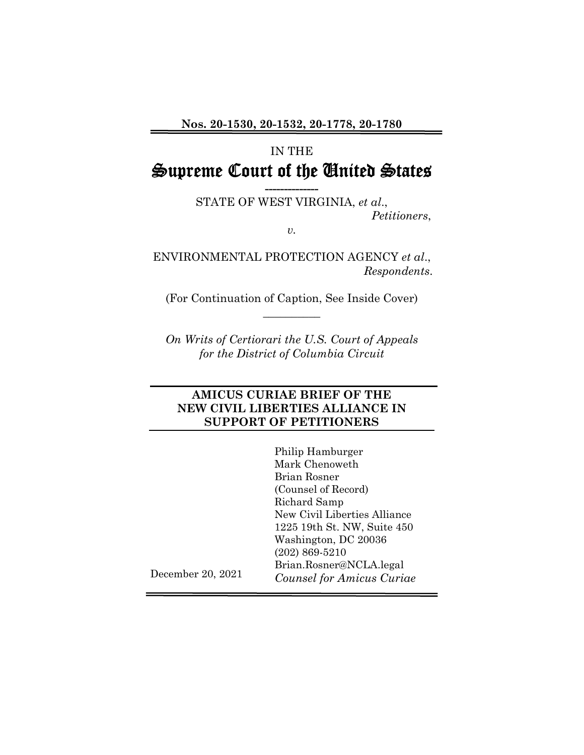**Nos. 20-1530, 20-1532, 20-1778, 20-1780** 

# IN THE Supreme Court of the United States

**--------------** 

STATE OF WEST VIRGINIA, *et al*., *Petitioners*,

*v.* 

ENVIRONMENTAL PROTECTION AGENCY *et al*.,  *Respondents*.

(For Continuation of Caption, See Inside Cover)  $\overline{\phantom{a}}$ 

*On Writs of Certiorari the U.S. Court of Appeals for the District of Columbia Circuit* 

### **AMICUS CURIAE BRIEF OF THE NEW CIVIL LIBERTIES ALLIANCE IN SUPPORT OF PETITIONERS**

December 20, 2021 Philip Hamburger Mark Chenoweth Brian Rosner (Counsel of Record) Richard Samp New Civil Liberties Alliance 1225 19th St. NW, Suite 450 Washington, DC 20036 (202) 869-5210 [Brian.Rosner@NCLA.legal](mailto:Brian.Rosner@NCLA.legal) *Counsel for Amicus Curiae*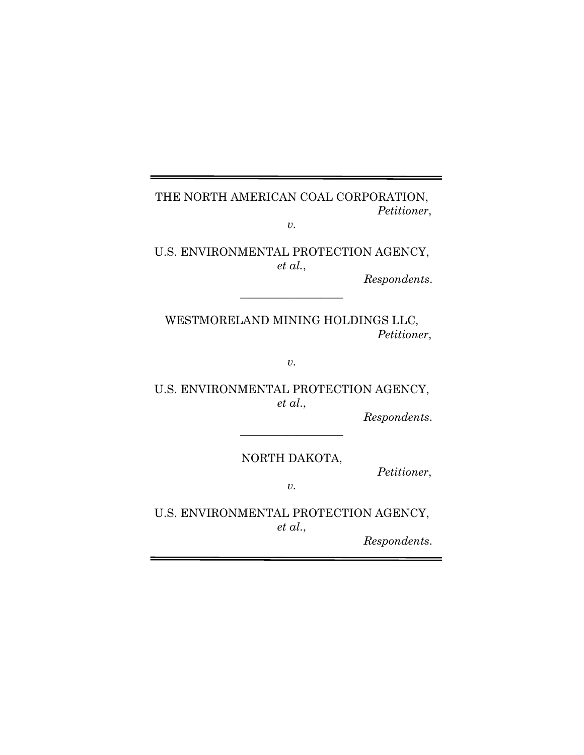THE NORTH AMERICAN COAL CORPORATION, *Petitioner*,

*v.*

U.S. ENVIRONMENTAL PROTECTION AGENCY, *et al.*,

**\_\_\_\_\_\_\_\_\_\_\_\_\_\_\_\_\_\_**

*Respondents*.

WESTMORELAND MINING HOLDINGS LLC, *Petitioner*,

*v.*

U.S. ENVIRONMENTAL PROTECTION AGENCY, *et al*.,

*Respondents*.

NORTH DAKOTA,

**\_\_\_\_\_\_\_\_\_\_\_\_\_\_\_\_\_\_**

*Petitioner*,

*v.*

U.S. ENVIRONMENTAL PROTECTION AGENCY, *et al*.,

*Respondents*.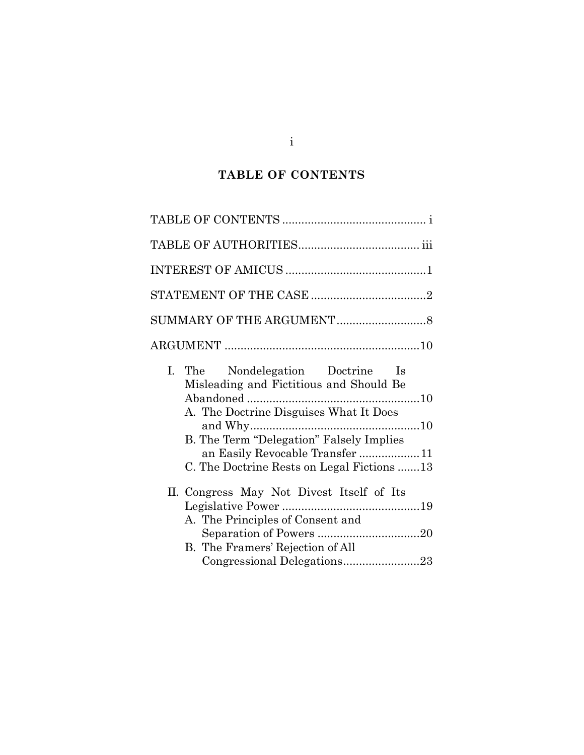# **TABLE OF CONTENTS**

<span id="page-2-0"></span>

| $I_{\cdot}$<br>The Nondelegation Doctrine Is<br>Misleading and Fictitious and Should Be<br>A. The Doctrine Disguises What It Does<br>B. The Term "Delegation" Falsely Implies<br>an Easily Revocable Transfer11<br>C. The Doctrine Rests on Legal Fictions 13 |
|---------------------------------------------------------------------------------------------------------------------------------------------------------------------------------------------------------------------------------------------------------------|
| II. Congress May Not Divest Itself of Its<br>A. The Principles of Consent and<br>B. The Framers' Rejection of All<br>Congressional Delegations23                                                                                                              |

i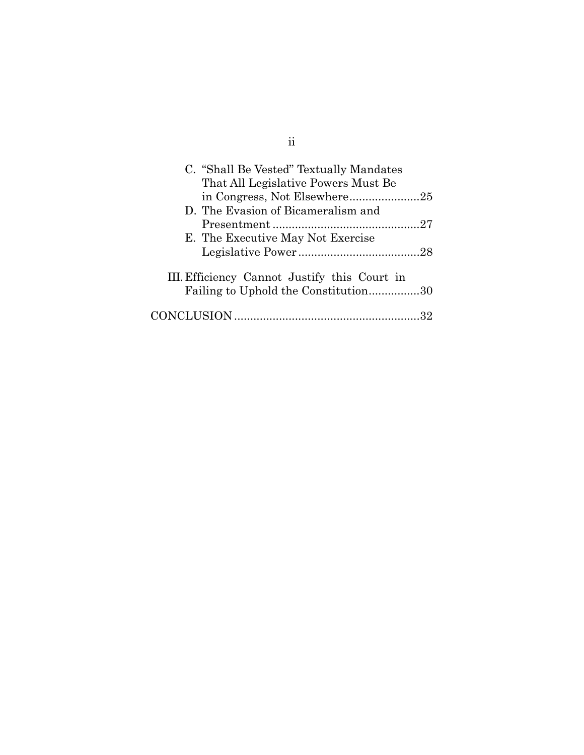| C. "Shall Be Vested" Textually Mandates<br>That All Legislative Powers Must Be       |  |
|--------------------------------------------------------------------------------------|--|
|                                                                                      |  |
| D. The Evasion of Bicameralism and                                                   |  |
|                                                                                      |  |
| E. The Executive May Not Exercise                                                    |  |
|                                                                                      |  |
| III. Efficiency Cannot Justify this Court in<br>Failing to Uphold the Constitution30 |  |
|                                                                                      |  |

ii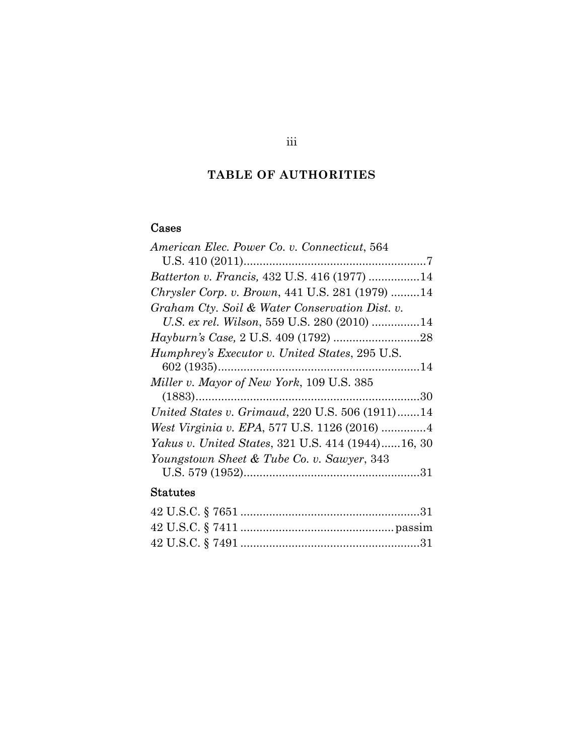# **TABLE OF AUTHORITIES**

# <span id="page-4-0"></span>Cases

| American Elec. Power Co. v. Connecticut, 564      |
|---------------------------------------------------|
|                                                   |
| Batterton v. Francis, 432 U.S. 416 (1977) 14      |
| Chrysler Corp. v. Brown, 441 U.S. 281 (1979) 14   |
| Graham Cty. Soil & Water Conservation Dist. v.    |
| U.S. ex rel. Wilson, 559 U.S. 280 (2010) 14       |
|                                                   |
| Humphrey's Executor v. United States, 295 U.S.    |
|                                                   |
| Miller v. Mayor of New York, 109 U.S. 385         |
|                                                   |
| United States v. Grimaud, 220 U.S. 506 (1911)14   |
|                                                   |
| Yakus v. United States, 321 U.S. 414 (1944)16, 30 |
| Youngstown Sheet & Tube Co. v. Sawyer, 343        |
|                                                   |

# Statutes

## iii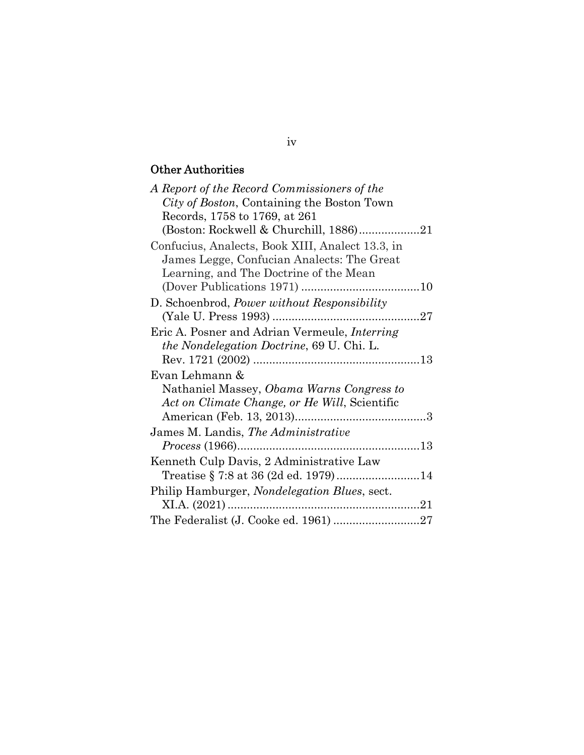# Other Authorities

| A Report of the Record Commissioners of the        |  |
|----------------------------------------------------|--|
| City of Boston, Containing the Boston Town         |  |
| Records, 1758 to 1769, at 261                      |  |
|                                                    |  |
| Confucius, Analects, Book XIII, Analect 13.3, in   |  |
| James Legge, Confucian Analects: The Great         |  |
| Learning, and The Doctrine of the Mean             |  |
|                                                    |  |
| D. Schoenbrod, <i>Power without Responsibility</i> |  |
|                                                    |  |
| Eric A. Posner and Adrian Vermeule, Interring      |  |
| <i>the Nondelegation Doctrine, 69 U. Chi. L.</i>   |  |
|                                                    |  |
| Evan Lehmann &                                     |  |
| Nathaniel Massey, Obama Warns Congress to          |  |
| Act on Climate Change, or He Will, Scientific      |  |
|                                                    |  |
| James M. Landis, The Administrative                |  |
|                                                    |  |
| Kenneth Culp Davis, 2 Administrative Law           |  |
|                                                    |  |
| Philip Hamburger, Nondelegation Blues, sect.       |  |
|                                                    |  |
| The Federalist (J. Cooke ed. 1961) 27              |  |
|                                                    |  |

iv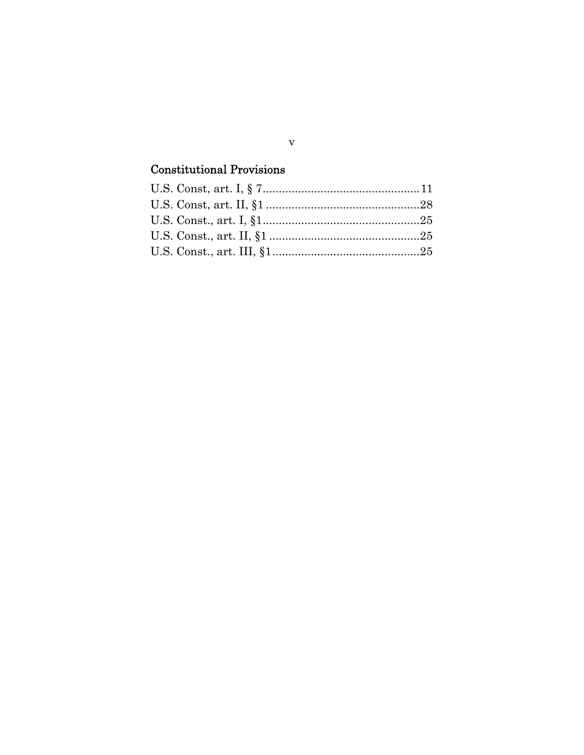# **Constitutional Provisions**

 $\mathbf{V}$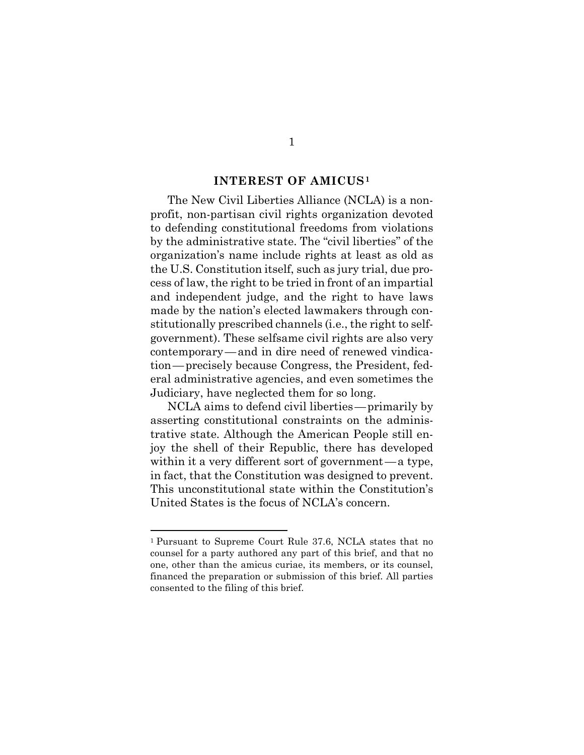#### **INTEREST OF AMICUS[1](#page-8-1)**

<span id="page-7-0"></span>The New Civil Liberties Alliance (NCLA) is a nonprofit, non-partisan civil rights organization devoted to defending constitutional freedoms from violations by the administrative state. The "civil liberties" of the organization's name include rights at least as old as the U.S. Constitution itself, such as jury trial, due process of law, the right to be tried in front of an impartial and independent judge, and the right to have laws made by the nation's elected lawmakers through constitutionally prescribed channels (i.e., the right to selfgovernment). These selfsame civil rights are also very contemporary—and in dire need of renewed vindication—precisely because Congress, the President, federal administrative agencies, and even sometimes the Judiciary, have neglected them for so long.

NCLA aims to defend civil liberties—primarily by asserting constitutional constraints on the administrative state. Although the American People still enjoy the shell of their Republic, there has developed within it a very different sort of government—a type, in fact, that the Constitution was designed to prevent. This unconstitutional state within the Constitution's United States is the focus of NCLA's concern.

<sup>1</sup> Pursuant to Supreme Court Rule 37.6, NCLA states that no counsel for a party authored any part of this brief, and that no one, other than the amicus curiae, its members, or its counsel, financed the preparation or submission of this brief. All parties consented to the filing of this brief.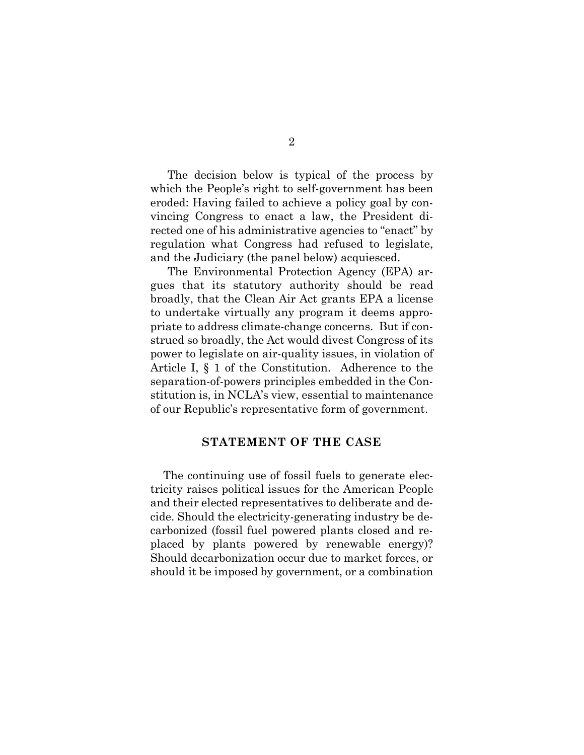The decision below is typical of the process by which the People's right to self-government has been eroded: Having failed to achieve a policy goal by convincing Congress to enact a law, the President directed one of his administrative agencies to "enact" by regulation what Congress had refused to legislate, and the Judiciary (the panel below) acquiesced.

The Environmental Protection Agency (EPA) argues that its statutory authority should be read broadly, that the Clean Air Act grants EPA a license to undertake virtually any program it deems appropriate to address climate-change concerns. But if construed so broadly, the Act would divest Congress of its power to legislate on air-quality issues, in violation of Article I, § 1 of the Constitution. Adherence to the separation-of-powers principles embedded in the Constitution is, in NCLA's view, essential to maintenance of our Republic's representative form of government.

#### **STATEMENT OF THE CASE**

<span id="page-8-1"></span><span id="page-8-0"></span> The continuing use of fossil fuels to generate electricity raises political issues for the American People and their elected representatives to deliberate and decide. Should the electricity-generating industry be decarbonized (fossil fuel powered plants closed and replaced by plants powered by renewable energy)? Should decarbonization occur due to market forces, or should it be imposed by government, or a combination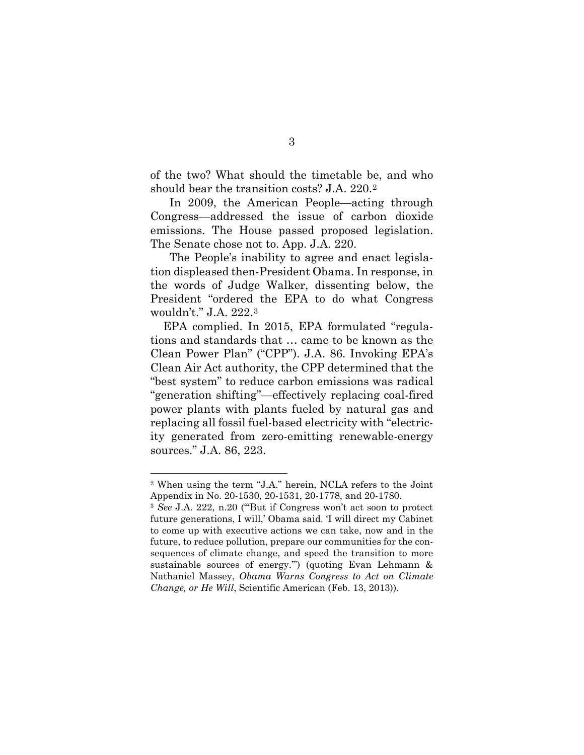of the two? What should the timetable be, and who should bear the transition costs? J.A. 220.[2](#page-10-0)

 In 2009, the American People—acting through Congress—addressed the issue of carbon dioxide emissions. The House passed proposed legislation. The Senate chose not to. App. J.A. 220.

 The People's inability to agree and enact legislation displeased then-President Obama. In response, in the words of Judge Walker, dissenting below, the President "ordered the EPA to do what Congress wouldn't." J.A. 222.[3](#page-10-1)

 EPA complied. In 2015, EPA formulated "regulations and standards that … came to be known as the Clean Power Plan" ("CPP"). J.A. 86. Invoking EPA's Clean Air Act authority, the CPP determined that the "best system" to reduce carbon emissions was radical "generation shifting"—effectively replacing coal-fired power plants with plants fueled by natural gas and replacing all fossil fuel-based electricity with "electricity generated from zero-emitting renewable-energy sources." J.A. 86, 223.

<sup>2</sup> When using the term "J.A." herein, NCLA refers to the Joint Appendix in No. 20-1530, 20-1531, 20-1778, and 20-1780.

<sup>3</sup> *See* J.A. 222, n.20 ("'But if Congress won't act soon to protect future generations, I will,' Obama said. 'I will direct my Cabinet to come up with executive actions we can take, now and in the future, to reduce pollution, prepare our communities for the consequences of climate change, and speed the transition to more sustainable sources of energy.'") (quoting Evan Lehmann & Nathaniel Massey, *Obama Warns Congress to Act on Climate Change, or He Will*, Scientific American (Feb. 13, 2013)).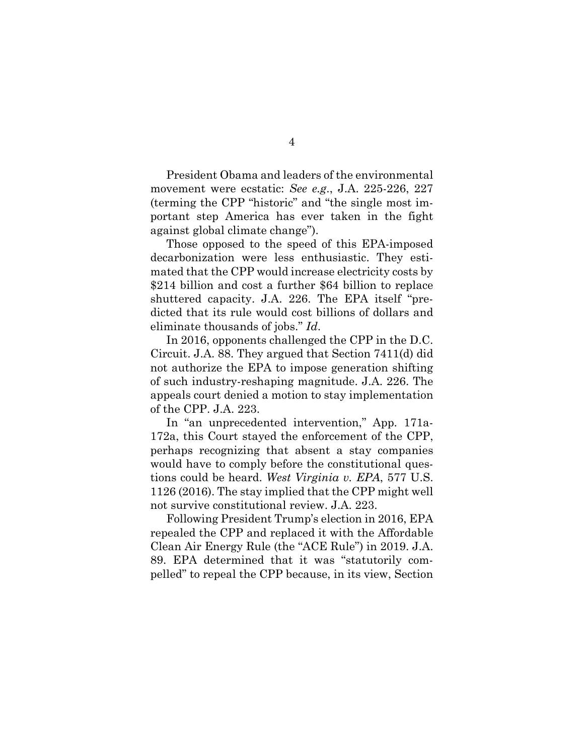President Obama and leaders of the environmental movement were ecstatic: *See e.g*., J.A. 225-226, 227 (terming the CPP "historic" and "the single most important step America has ever taken in the fight against global climate change").

 Those opposed to the speed of this EPA-imposed decarbonization were less enthusiastic. They estimated that the CPP would increase electricity costs by \$214 billion and cost a further \$64 billion to replace shuttered capacity. J.A. 226. The EPA itself "predicted that its rule would cost billions of dollars and eliminate thousands of jobs." *Id*.

 In 2016, opponents challenged the CPP in the D.C. Circuit. J.A. 88. They argued that Section 7411(d) did not authorize the EPA to impose generation shifting of such industry-reshaping magnitude. J.A. 226. The appeals court denied a motion to stay implementation of the CPP. J.A. 223.

 In "an unprecedented intervention," App. 171a-172a, this Court stayed the enforcement of the CPP, perhaps recognizing that absent a stay companies would have to comply before the constitutional questions could be heard. *West Virginia v. EPA*, 577 U.S. 1126 (2016). The stay implied that the CPP might well not survive constitutional review. J.A. 223.

<span id="page-10-1"></span><span id="page-10-0"></span> Following President Trump's election in 2016, EPA repealed the CPP and replaced it with the Affordable Clean Air Energy Rule (the "ACE Rule") in 2019. J.A. 89. EPA determined that it was "statutorily compelled" to repeal the CPP because, in its view, Section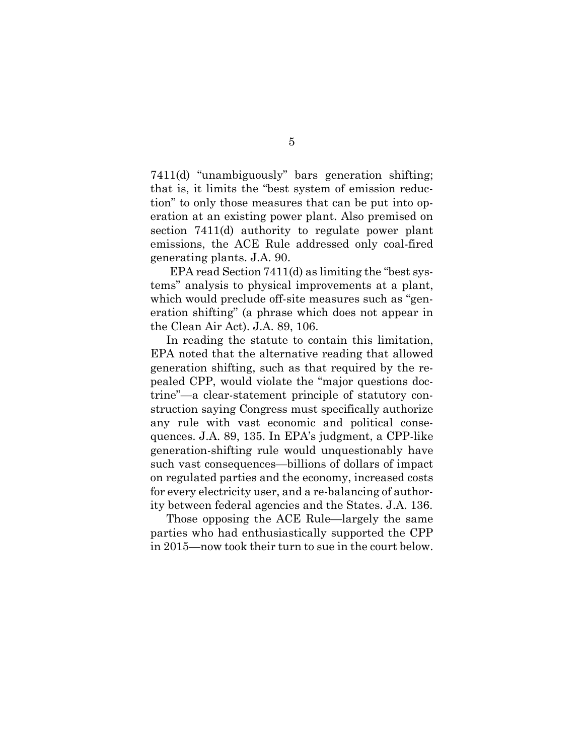7411(d) "unambiguously" bars generation shifting; that is, it limits the "best system of emission reduction" to only those measures that can be put into operation at an existing power plant. Also premised on section 7411(d) authority to regulate power plant emissions, the ACE Rule addressed only coal-fired generating plants. J.A. 90.

 EPA read Section 7411(d) as limiting the "best systems" analysis to physical improvements at a plant, which would preclude off-site measures such as "generation shifting" (a phrase which does not appear in the Clean Air Act). J.A. 89, 106.

 In reading the statute to contain this limitation, EPA noted that the alternative reading that allowed generation shifting, such as that required by the repealed CPP, would violate the "major questions doctrine"—a clear-statement principle of statutory construction saying Congress must specifically authorize any rule with vast economic and political consequences. J.A. 89, 135. In EPA's judgment, a CPP-like generation-shifting rule would unquestionably have such vast consequences—billions of dollars of impact on regulated parties and the economy, increased costs for every electricity user, and a re-balancing of authority between federal agencies and the States. J.A. 136.

 Those opposing the ACE Rule—largely the same parties who had enthusiastically supported the CPP in 2015—now took their turn to sue in the court below.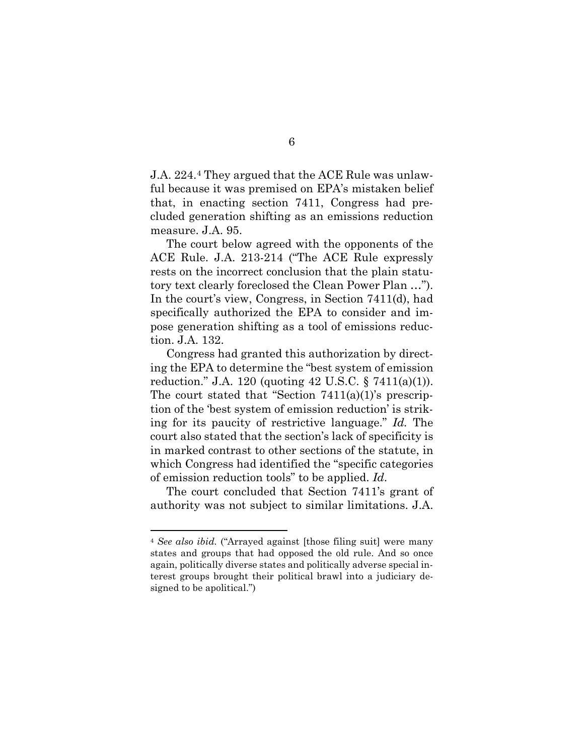J.A. 224.[4](#page-13-0) They argued that the ACE Rule was unlawful because it was premised on EPA's mistaken belief that, in enacting section 7411, Congress had precluded generation shifting as an emissions reduction measure. J.A. 95.

 The court below agreed with the opponents of the ACE Rule. J.A. 213-214 ("The ACE Rule expressly rests on the incorrect conclusion that the plain statutory text clearly foreclosed the Clean Power Plan …"). In the court's view, Congress, in Section 7411(d), had specifically authorized the EPA to consider and impose generation shifting as a tool of emissions reduction. J.A. 132.

 Congress had granted this authorization by directing the EPA to determine the "best system of emission reduction." J.A. 120 (quoting 42 U.S.C. § 7411(a)(1)). The court stated that "Section  $7411(a)(1)$ 's prescription of the 'best system of emission reduction' is striking for its paucity of restrictive language." *Id.* The court also stated that the section's lack of specificity is in marked contrast to other sections of the statute, in which Congress had identified the "specific categories of emission reduction tools" to be applied. *Id*.

 The court concluded that Section 7411's grant of authority was not subject to similar limitations. J.A.

<sup>4</sup> *See also ibid.* ("Arrayed against [those filing suit] were many states and groups that had opposed the old rule. And so once again, politically diverse states and politically adverse special interest groups brought their political brawl into a judiciary designed to be apolitical.")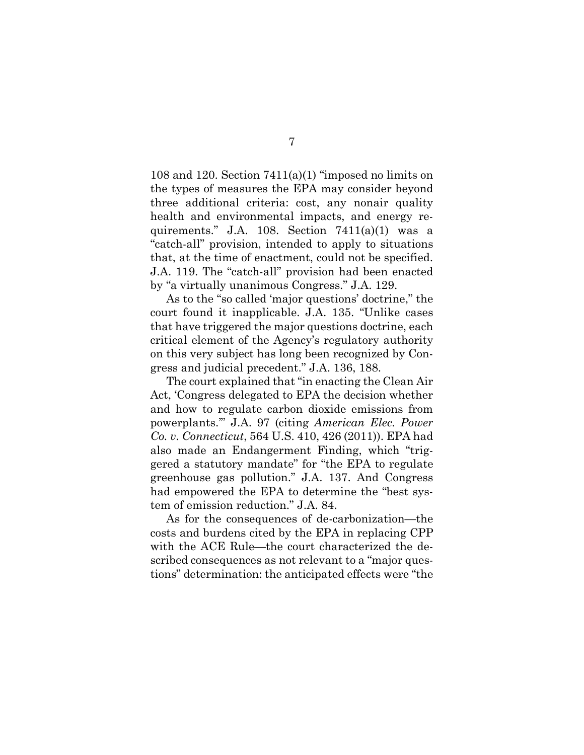108 and 120. Section 7411(a)(1) "imposed no limits on the types of measures the EPA may consider beyond three additional criteria: cost, any nonair quality health and environmental impacts, and energy requirements." J.A. 108. Section 7411(a)(1) was a "catch-all" provision, intended to apply to situations that, at the time of enactment, could not be specified. J.A. 119. The "catch-all" provision had been enacted by "a virtually unanimous Congress." J.A. 129.

 As to the "so called 'major questions' doctrine," the court found it inapplicable. J.A. 135. "Unlike cases that have triggered the major questions doctrine, each critical element of the Agency's regulatory authority on this very subject has long been recognized by Congress and judicial precedent." J.A. 136, 188.

 The court explained that "in enacting the Clean Air Act, 'Congress delegated to EPA the decision whether and how to regulate carbon dioxide emissions from powerplants.'" J.A. 97 (citing *American Elec. Power Co. v. Connecticut*, 564 U.S. 410, 426 (2011)). EPA had also made an Endangerment Finding, which "triggered a statutory mandate" for "the EPA to regulate greenhouse gas pollution." J.A. 137. And Congress had empowered the EPA to determine the "best system of emission reduction." J.A. 84.

<span id="page-13-0"></span> As for the consequences of de-carbonization—the costs and burdens cited by the EPA in replacing CPP with the ACE Rule—the court characterized the described consequences as not relevant to a "major questions" determination: the anticipated effects were "the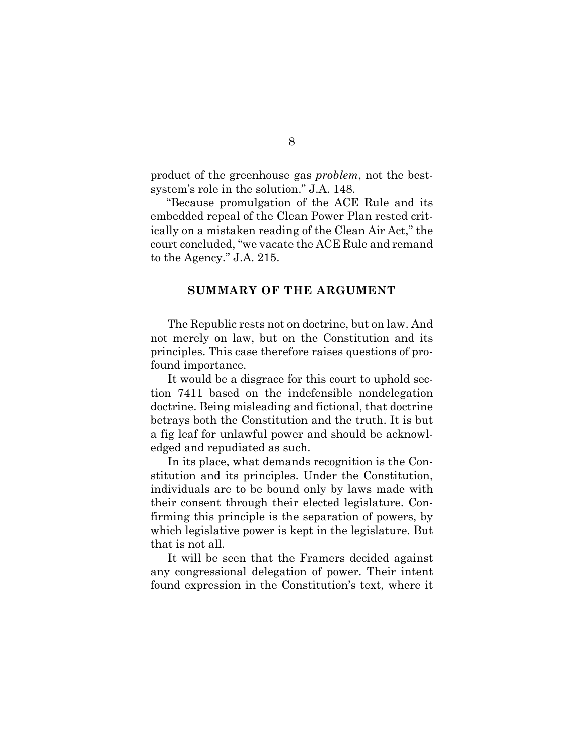product of the greenhouse gas *problem*, not the bestsystem's role in the solution." J.A. 148.

 "Because promulgation of the ACE Rule and its embedded repeal of the Clean Power Plan rested critically on a mistaken reading of the Clean Air Act," the court concluded, "we vacate the ACE Rule and remand to the Agency." J.A. 215.

### <span id="page-14-0"></span>**SUMMARY OF THE ARGUMENT**

The Republic rests not on doctrine, but on law. And not merely on law, but on the Constitution and its principles. This case therefore raises questions of profound importance.

It would be a disgrace for this court to uphold section 7411 based on the indefensible nondelegation doctrine. Being misleading and fictional, that doctrine betrays both the Constitution and the truth. It is but a fig leaf for unlawful power and should be acknowledged and repudiated as such.

In its place, what demands recognition is the Constitution and its principles. Under the Constitution, individuals are to be bound only by laws made with their consent through their elected legislature. Confirming this principle is the separation of powers, by which legislative power is kept in the legislature. But that is not all.

It will be seen that the Framers decided against any congressional delegation of power. Their intent found expression in the Constitution's text, where it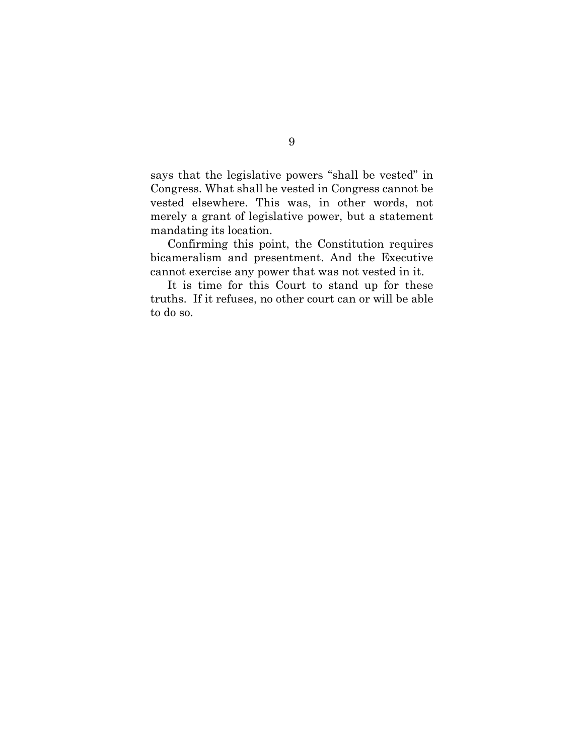says that the legislative powers "shall be vested" in Congress. What shall be vested in Congress cannot be vested elsewhere. This was, in other words, not merely a grant of legislative power, but a statement mandating its location.

Confirming this point, the Constitution requires bicameralism and presentment. And the Executive cannot exercise any power that was not vested in it.

It is time for this Court to stand up for these truths. If it refuses, no other court can or will be able to do so.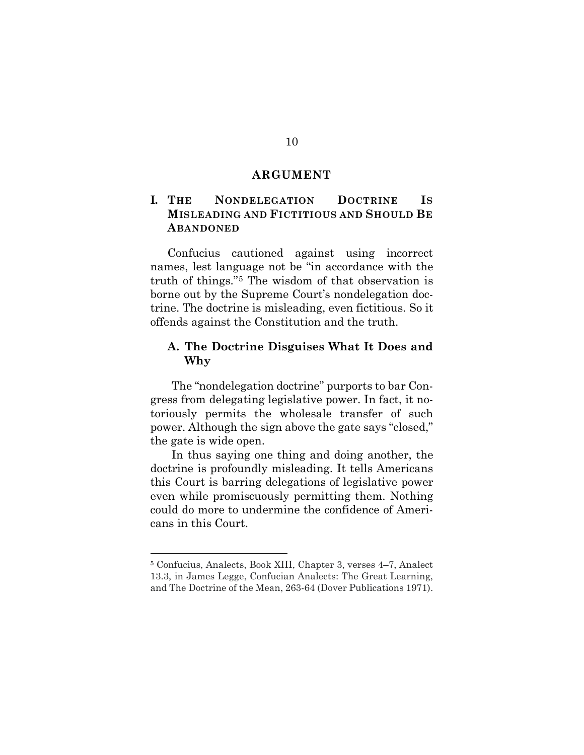#### **ARGUMENT**

### <span id="page-16-1"></span><span id="page-16-0"></span>**I. THE NONDELEGATION DOCTRINE IS MISLEADING AND FICTITIOUS AND SHOULD BE ABANDONED**

Confucius cautioned against using incorrect names, lest language not be "in accordance with the truth of things."[5](#page-17-1) The wisdom of that observation is borne out by the Supreme Court's nondelegation doctrine. The doctrine is misleading, even fictitious. So it offends against the Constitution and the truth.

#### <span id="page-16-2"></span>**A. The Doctrine Disguises What It Does and Why**

The "nondelegation doctrine" purports to bar Congress from delegating legislative power. In fact, it notoriously permits the wholesale transfer of such power. Although the sign above the gate says "closed," the gate is wide open.

In thus saying one thing and doing another, the doctrine is profoundly misleading. It tells Americans this Court is barring delegations of legislative power even while promiscuously permitting them. Nothing could do more to undermine the confidence of Americans in this Court.

<sup>5</sup> Confucius, Analects, Book XIII, Chapter 3, verses 4–7, Analect 13.3, in James Legge, Confucian Analects: The Great Learning, and The Doctrine of the Mean, 263-64 (Dover Publications 1971).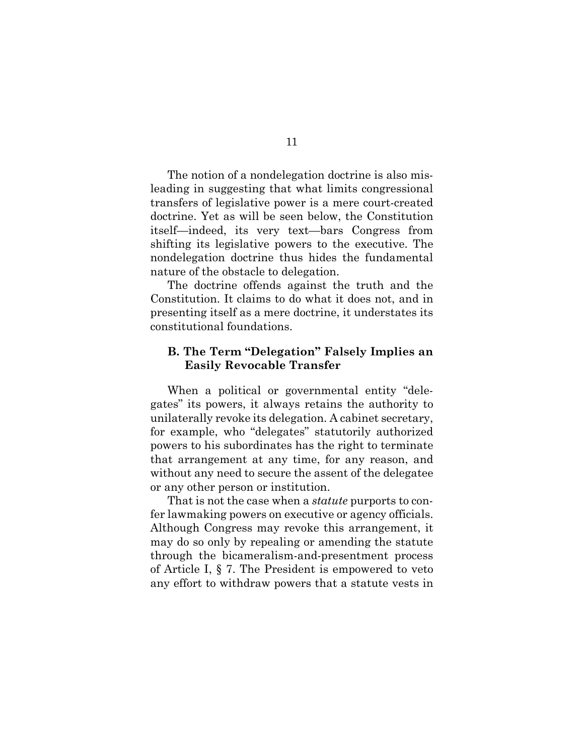The notion of a nondelegation doctrine is also misleading in suggesting that what limits congressional transfers of legislative power is a mere court-created doctrine. Yet as will be seen below, the Constitution itself—indeed, its very text—bars Congress from shifting its legislative powers to the executive. The nondelegation doctrine thus hides the fundamental nature of the obstacle to delegation.

The doctrine offends against the truth and the Constitution. It claims to do what it does not, and in presenting itself as a mere doctrine, it understates its constitutional foundations.

#### <span id="page-17-0"></span>**B. The Term "Delegation" Falsely Implies an Easily Revocable Transfer**

When a political or governmental entity "delegates" its powers, it always retains the authority to unilaterally revoke its delegation. A cabinet secretary, for example, who "delegates" statutorily authorized powers to his subordinates has the right to terminate that arrangement at any time, for any reason, and without any need to secure the assent of the delegatee or any other person or institution.

<span id="page-17-1"></span>That is not the case when a *statute* purports to confer lawmaking powers on executive or agency officials. Although Congress may revoke this arrangement, it may do so only by repealing or amending the statute through the bicameralism-and-presentment process of Article I, § 7. The President is empowered to veto any effort to withdraw powers that a statute vests in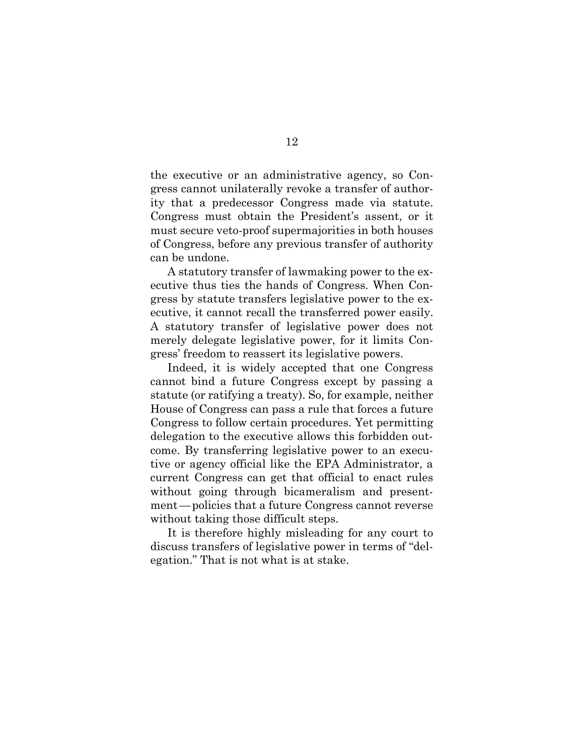the executive or an administrative agency, so Congress cannot unilaterally revoke a transfer of authority that a predecessor Congress made via statute. Congress must obtain the President's assent, or it must secure veto-proof supermajorities in both houses of Congress, before any previous transfer of authority can be undone.

A statutory transfer of lawmaking power to the executive thus ties the hands of Congress. When Congress by statute transfers legislative power to the executive, it cannot recall the transferred power easily. A statutory transfer of legislative power does not merely delegate legislative power, for it limits Congress' freedom to reassert its legislative powers.

Indeed, it is widely accepted that one Congress cannot bind a future Congress except by passing a statute (or ratifying a treaty). So, for example, neither House of Congress can pass a rule that forces a future Congress to follow certain procedures. Yet permitting delegation to the executive allows this forbidden outcome. By transferring legislative power to an executive or agency official like the EPA Administrator, a current Congress can get that official to enact rules without going through bicameralism and presentment—policies that a future Congress cannot reverse without taking those difficult steps.

It is therefore highly misleading for any court to discuss transfers of legislative power in terms of "delegation." That is not what is at stake.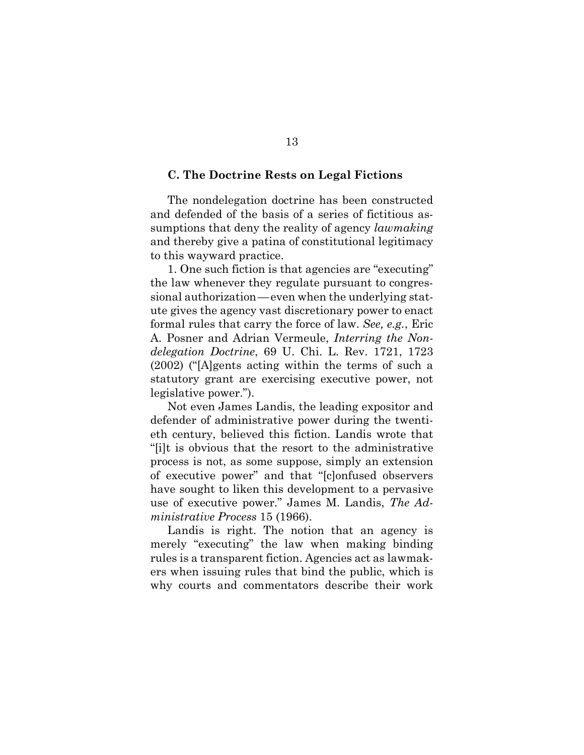#### <span id="page-19-0"></span>**C. The Doctrine Rests on Legal Fictions**

The nondelegation doctrine has been constructed and defended of the basis of a series of fictitious assumptions that deny the reality of agency *lawmaking* and thereby give a patina of constitutional legitimacy to this wayward practice.

1. One such fiction is that agencies are "executing" the law whenever they regulate pursuant to congressional authorization—even when the underlying statute gives the agency vast discretionary power to enact formal rules that carry the force of law. *See, e.g.*, Eric A. Posner and Adrian Vermeule, *Interring the Nondelegation Doctrine*, 69 U. Chi. L. Rev. 1721, 1723 (2002) ("[A]gents acting within the terms of such a statutory grant are exercising executive power, not legislative power.").

Not even James Landis, the leading expositor and defender of administrative power during the twentieth century, believed this fiction. Landis wrote that "[i]t is obvious that the resort to the administrative process is not, as some suppose, simply an extension of executive power" and that "[c]onfused observers have sought to liken this development to a pervasive use of executive power." James M. Landis, *The Administrative Process* 15 (1966).

Landis is right. The notion that an agency is merely "executing" the law when making binding rules is a transparent fiction. Agencies act as lawmakers when issuing rules that bind the public, which is why courts and commentators describe their work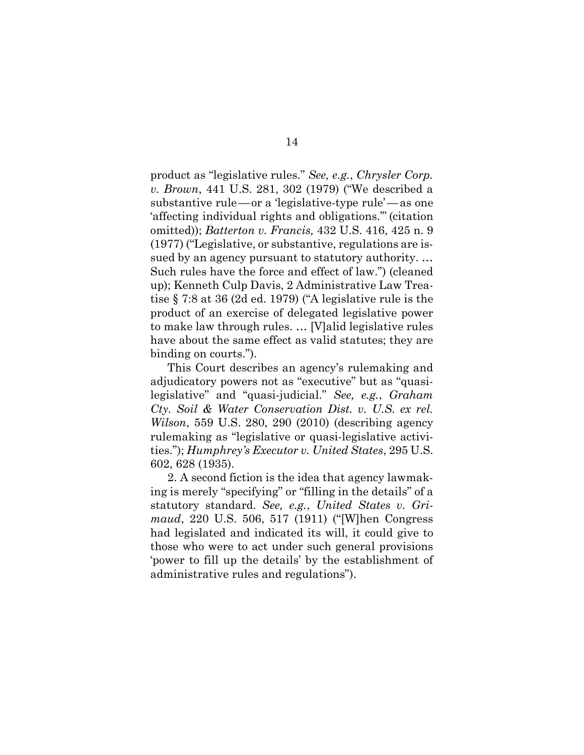product as "legislative rules." *See, e.g.*, *Chrysler Corp. v. Brown*, 441 U.S. 281, 302 (1979) ("We described a substantive rule—or a 'legislative-type rule'—as one 'affecting individual rights and obligations.'" (citation omitted)); *Batterton v. Francis,* 432 U.S. 416, 425 n. 9 (1977) ("Legislative, or substantive, regulations are issued by an agency pursuant to statutory authority. … Such rules have the force and effect of law.") (cleaned up); Kenneth Culp Davis, 2 Administrative Law Treatise § 7:8 at 36 (2d ed. 1979) ("A legislative rule is the product of an exercise of delegated legislative power to make law through rules. … [V]alid legislative rules have about the same effect as valid statutes; they are binding on courts.").

This Court describes an agency's rulemaking and adjudicatory powers not as "executive" but as "quasilegislative" and "quasi-judicial." *See, e.g.*, *Graham Cty. Soil & Water Conservation Dist. v. U.S. ex rel. Wilson*, 559 U.S. 280, 290 (2010) (describing agency rulemaking as "legislative or quasi-legislative activities."); *Humphrey's Executor v. United States*, 295 U.S. 602, 628 (1935).

2. A second fiction is the idea that agency lawmaking is merely "specifying" or "filling in the details" of a statutory standard. *See, e.g.*, *United States v. Grimaud*, 220 U.S. 506, 517 (1911) ("[W]hen Congress had legislated and indicated its will, it could give to those who were to act under such general provisions 'power to fill up the details' by the establishment of administrative rules and regulations").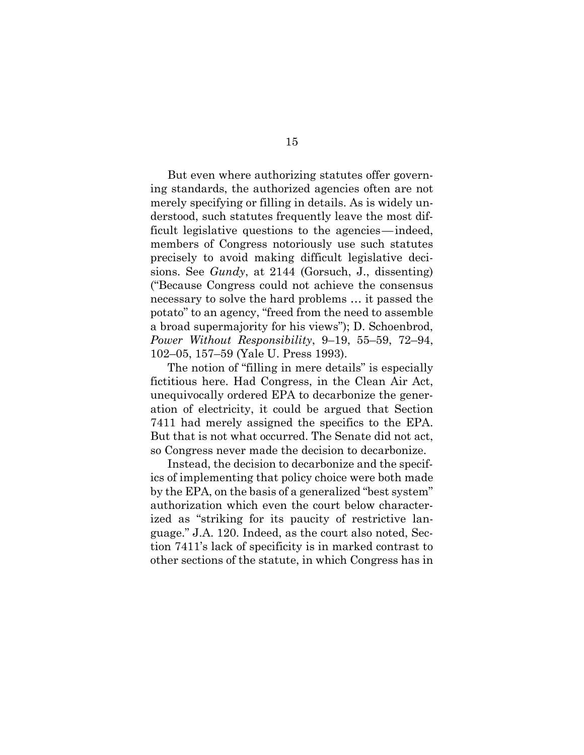But even where authorizing statutes offer governing standards, the authorized agencies often are not merely specifying or filling in details. As is widely understood, such statutes frequently leave the most difficult legislative questions to the agencies—indeed, members of Congress notoriously use such statutes precisely to avoid making difficult legislative decisions. See *Gundy*, at 2144 (Gorsuch, J., dissenting) ("Because Congress could not achieve the consensus necessary to solve the hard problems … it passed the potato" to an agency, "freed from the need to assemble a broad supermajority for his views"); D. Schoenbrod, *Power Without Responsibility*, 9–19, 55–59, 72–94, 102–05, 157–59 (Yale U. Press 1993).

The notion of "filling in mere details" is especially fictitious here. Had Congress, in the Clean Air Act, unequivocally ordered EPA to decarbonize the generation of electricity, it could be argued that Section 7411 had merely assigned the specifics to the EPA. But that is not what occurred. The Senate did not act, so Congress never made the decision to decarbonize.

Instead, the decision to decarbonize and the specifics of implementing that policy choice were both made by the EPA, on the basis of a generalized "best system" authorization which even the court below characterized as "striking for its paucity of restrictive language." J.A. 120. Indeed, as the court also noted, Section 7411's lack of specificity is in marked contrast to other sections of the statute, in which Congress has in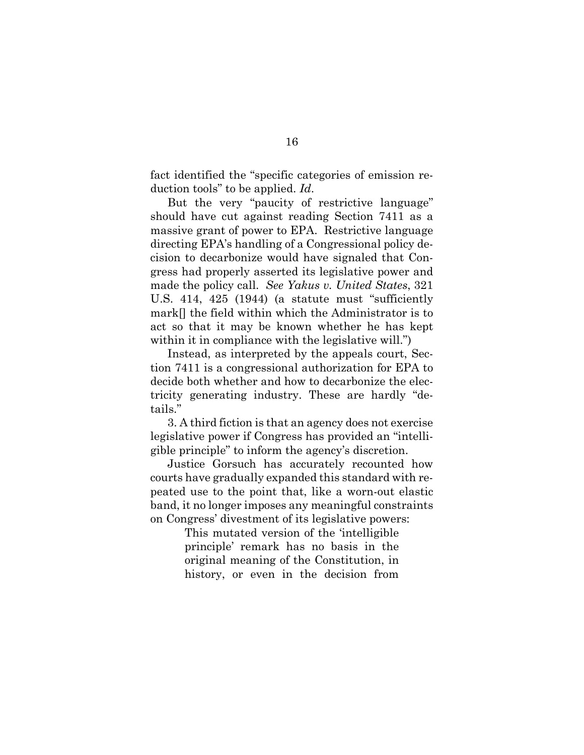fact identified the "specific categories of emission reduction tools" to be applied. *Id*.

But the very "paucity of restrictive language" should have cut against reading Section 7411 as a massive grant of power to EPA. Restrictive language directing EPA's handling of a Congressional policy decision to decarbonize would have signaled that Congress had properly asserted its legislative power and made the policy call. *See Yakus v. United States*, 321 U.S. 414, 425 (1944) (a statute must "sufficiently mark[] the field within which the Administrator is to act so that it may be known whether he has kept within it in compliance with the legislative will."

Instead, as interpreted by the appeals court, Section 7411 is a congressional authorization for EPA to decide both whether and how to decarbonize the electricity generating industry. These are hardly "details."

3. A third fiction is that an agency does not exercise legislative power if Congress has provided an "intelligible principle" to inform the agency's discretion.

Justice Gorsuch has accurately recounted how courts have gradually expanded this standard with repeated use to the point that, like a worn-out elastic band, it no longer imposes any meaningful constraints on Congress' divestment of its legislative powers:

> This mutated version of the 'intelligible principle' remark has no basis in the original meaning of the Constitution, in history, or even in the decision from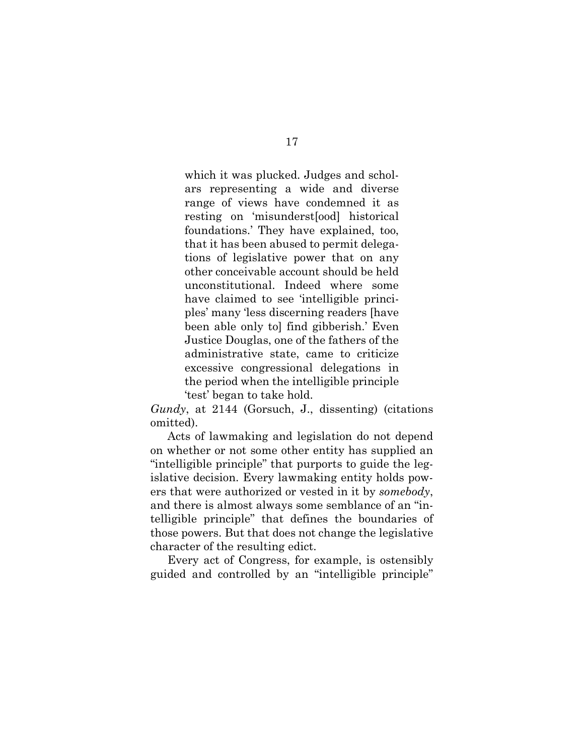which it was plucked. Judges and scholars representing a wide and diverse range of views have condemned it as resting on 'misunderst[ood] historical foundations.' They have explained, too, that it has been abused to permit delegations of legislative power that on any other conceivable account should be held unconstitutional. Indeed where some have claimed to see 'intelligible principles' many 'less discerning readers [have been able only to] find gibberish.' Even Justice Douglas, one of the fathers of the administrative state, came to criticize excessive congressional delegations in the period when the intelligible principle 'test' began to take hold.

*Gundy*, at 2144 (Gorsuch, J., dissenting) (citations omitted).

Acts of lawmaking and legislation do not depend on whether or not some other entity has supplied an "intelligible principle" that purports to guide the legislative decision. Every lawmaking entity holds powers that were authorized or vested in it by *somebody*, and there is almost always some semblance of an "intelligible principle" that defines the boundaries of those powers. But that does not change the legislative character of the resulting edict.

Every act of Congress, for example, is ostensibly guided and controlled by an "intelligible principle"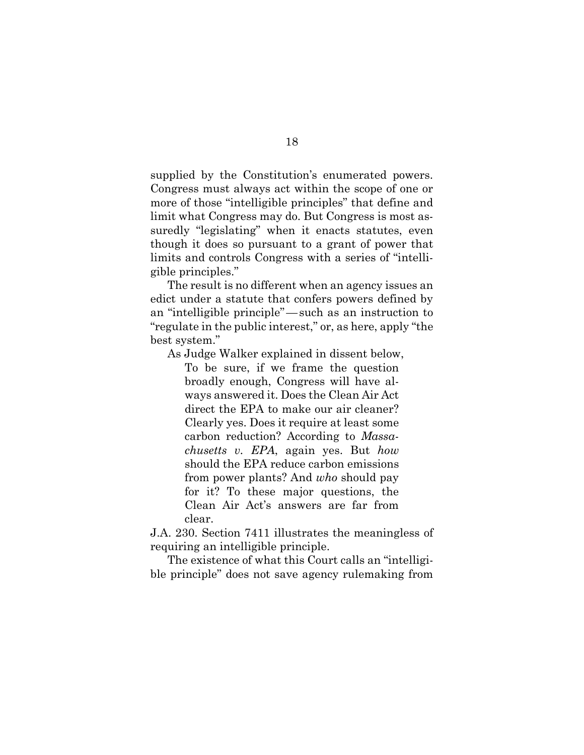supplied by the Constitution's enumerated powers. Congress must always act within the scope of one or more of those "intelligible principles" that define and limit what Congress may do. But Congress is most assuredly "legislating" when it enacts statutes, even though it does so pursuant to a grant of power that limits and controls Congress with a series of "intelligible principles."

The result is no different when an agency issues an edict under a statute that confers powers defined by an "intelligible principle"—such as an instruction to "regulate in the public interest," or, as here, apply "the best system."

As Judge Walker explained in dissent below,

To be sure, if we frame the question broadly enough, Congress will have always answered it. Does the Clean Air Act direct the EPA to make our air cleaner? Clearly yes. Does it require at least some carbon reduction? According to *Massachusetts v. EPA*, again yes. But *how* should the EPA reduce carbon emissions from power plants? And *who* should pay for it? To these major questions, the Clean Air Act's answers are far from clear.

J.A. 230. Section 7411 illustrates the meaningless of requiring an intelligible principle.

The existence of what this Court calls an "intelligible principle" does not save agency rulemaking from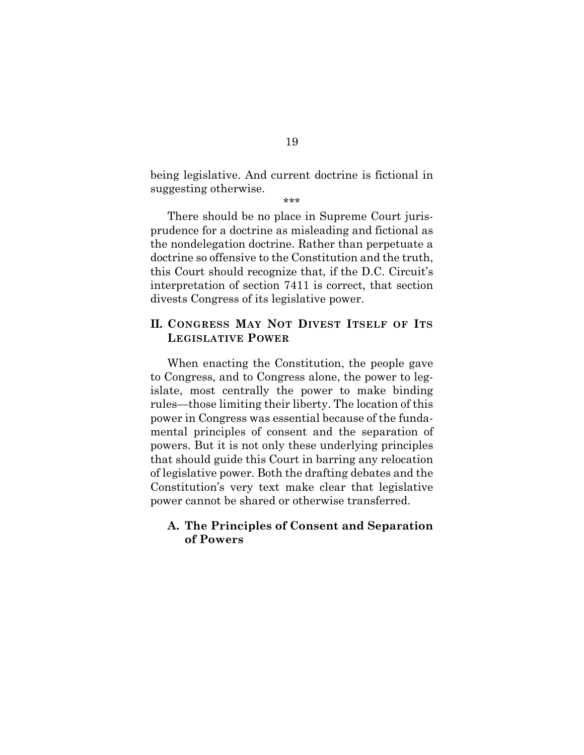being legislative. And current doctrine is fictional in suggesting otherwise.

\*\*\*

There should be no place in Supreme Court jurisprudence for a doctrine as misleading and fictional as the nondelegation doctrine. Rather than perpetuate a doctrine so offensive to the Constitution and the truth, this Court should recognize that, if the D.C. Circuit's interpretation of section 7411 is correct, that section divests Congress of its legislative power.

### <span id="page-25-0"></span>**II. CONGRESS MAY NOT DIVEST ITSELF OF ITS LEGISLATIVE POWER**

When enacting the Constitution, the people gave to Congress, and to Congress alone, the power to legislate, most centrally the power to make binding rules—those limiting their liberty. The location of this power in Congress was essential because of the fundamental principles of consent and the separation of powers. But it is not only these underlying principles that should guide this Court in barring any relocation of legislative power. Both the drafting debates and the Constitution's very text make clear that legislative power cannot be shared or otherwise transferred.

#### <span id="page-25-1"></span>**A. The Principles of Consent and Separation of Powers**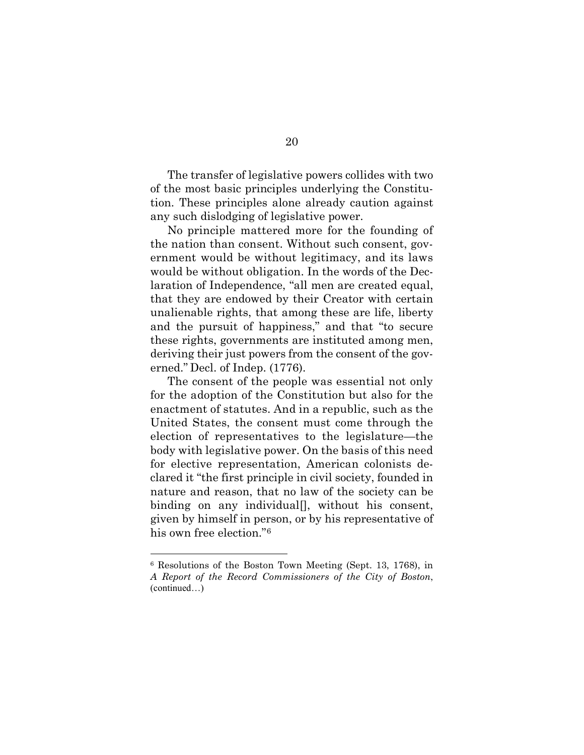The transfer of legislative powers collides with two of the most basic principles underlying the Constitution. These principles alone already caution against any such dislodging of legislative power.

No principle mattered more for the founding of the nation than consent. Without such consent, government would be without legitimacy, and its laws would be without obligation. In the words of the Declaration of Independence, "all men are created equal, that they are endowed by their Creator with certain unalienable rights, that among these are life, liberty and the pursuit of happiness," and that "to secure these rights, governments are instituted among men, deriving their just powers from the consent of the governed." Decl. of Indep. (1776).

The consent of the people was essential not only for the adoption of the Constitution but also for the enactment of statutes. And in a republic, such as the United States, the consent must come through the election of representatives to the legislature—the body with legislative power. On the basis of this need for elective representation, American colonists declared it "the first principle in civil society, founded in nature and reason, that no law of the society can be binding on any individual. without his consent, given by himself in person, or by his representative of his own free election."[6](#page-27-0)

<sup>6</sup> Resolutions of the Boston Town Meeting (Sept. 13, 1768), in *A Report of the Record Commissioners of the City of Boston*, (continued…)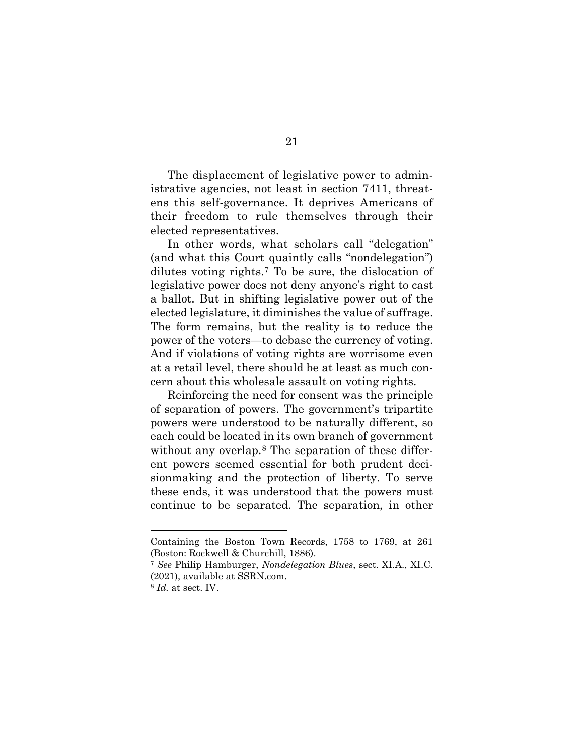The displacement of legislative power to administrative agencies, not least in section 7411, threatens this self-governance. It deprives Americans of their freedom to rule themselves through their elected representatives.

In other words, what scholars call "delegation" (and what this Court quaintly calls "nondelegation") dilutes voting rights[.7](#page-28-0) To be sure, the dislocation of legislative power does not deny anyone's right to cast a ballot. But in shifting legislative power out of the elected legislature, it diminishes the value of suffrage. The form remains, but the reality is to reduce the power of the voters—to debase the currency of voting. And if violations of voting rights are worrisome even at a retail level, there should be at least as much concern about this wholesale assault on voting rights.

Reinforcing the need for consent was the principle of separation of powers. The government's tripartite powers were understood to be naturally different, so each could be located in its own branch of government without any overlap.[8](#page-28-1) The separation of these different powers seemed essential for both prudent decisionmaking and the protection of liberty. To serve these ends, it was understood that the powers must continue to be separated. The separation, in other

Containing the Boston Town Records, 1758 to 1769, at 261 (Boston: Rockwell & Churchill, 1886). 7 *See* Philip Hamburger, *Nondelegation Blues*, sect. XI.A., XI.C.

<span id="page-27-0"></span><sup>(2021),</sup> available at SSRN.com.

<sup>8</sup> *Id.* at sect. IV.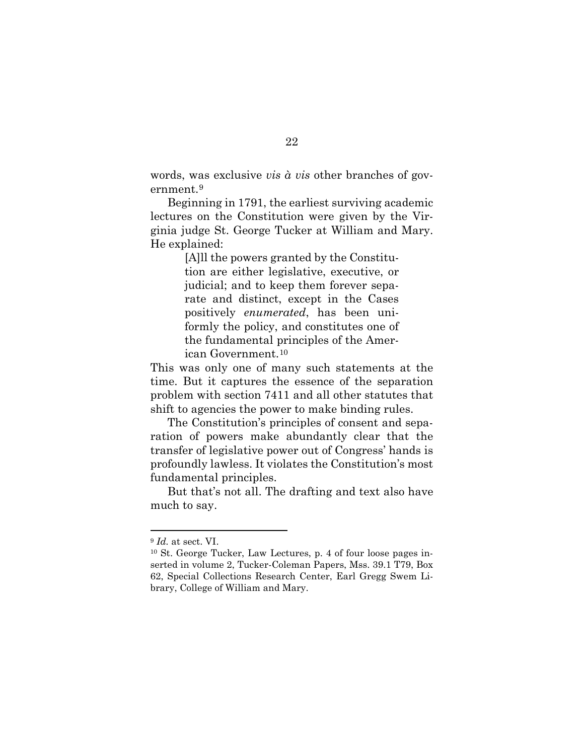words, was exclusive *vis à vis* other branches of government.[9](#page-29-1)

Beginning in 1791, the earliest surviving academic lectures on the Constitution were given by the Virginia judge St. George Tucker at William and Mary. He explained:

> [A]ll the powers granted by the Constitution are either legislative, executive, or judicial; and to keep them forever separate and distinct, except in the Cases positively *enumerated*, has been uniformly the policy, and constitutes one of the fundamental principles of the American Government.[10](#page-29-2)

This was only one of many such statements at the time. But it captures the essence of the separation problem with section 7411 and all other statutes that shift to agencies the power to make binding rules.

The Constitution's principles of consent and separation of powers make abundantly clear that the transfer of legislative power out of Congress' hands is profoundly lawless. It violates the Constitution's most fundamental principles.

But that's not all. The drafting and text also have much to say.

<sup>9</sup> *Id.* at sect. VI.

<span id="page-28-1"></span><span id="page-28-0"></span><sup>10</sup> St. George Tucker, Law Lectures, p. 4 of four loose pages inserted in volume 2, Tucker-Coleman Papers, Mss. 39.1 T79, Box 62, Special Collections Research Center, Earl Gregg Swem Library, College of William and Mary.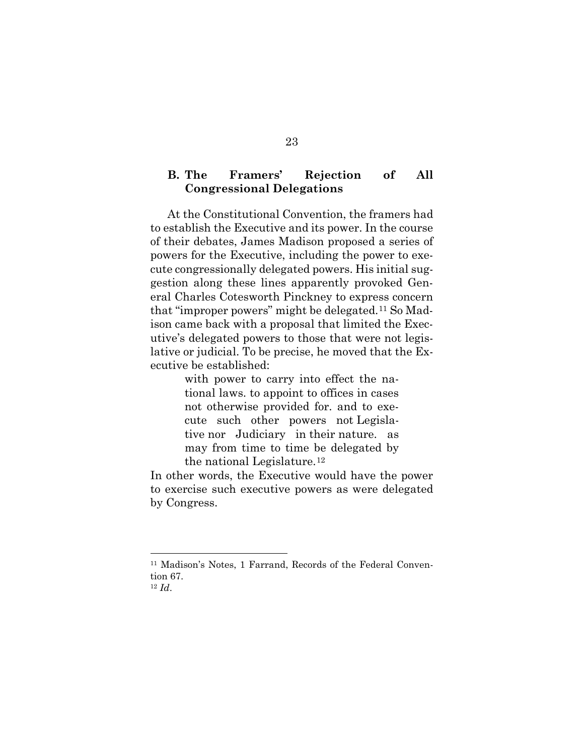### <span id="page-29-0"></span>**B. The Framers' Rejection of All Congressional Delegations**

At the Constitutional Convention, the framers had to establish the Executive and its power. In the course of their debates, James Madison proposed a series of powers for the Executive, including the power to execute congressionally delegated powers. His initial suggestion along these lines apparently provoked General Charles Cotesworth Pinckney to express concern that "improper powers" might be delegated.[11](#page-30-0) So Madison came back with a proposal that limited the Executive's delegated powers to those that were not legislative or judicial. To be precise, he moved that the Executive be established:

> with power to carry into effect the national laws. to appoint to offices in cases not otherwise provided for. and to execute such other powers not Legislative nor Judiciary in their nature. as may from time to time be delegated by the national Legislature.[12](#page-30-1)

In other words, the Executive would have the power to exercise such executive powers as were delegated by Congress.

<span id="page-29-2"></span><span id="page-29-1"></span><sup>11</sup> Madison's Notes, 1 Farrand, Records of the Federal Convention 67.

<sup>12</sup> *Id*.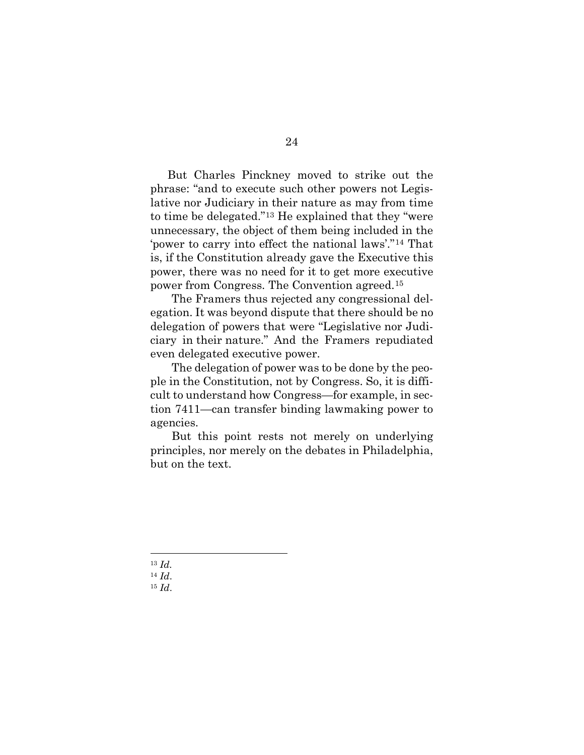But Charles Pinckney moved to strike out the phrase: "and to execute such other powers not Legislative nor Judiciary in their nature as may from time to time be delegated."[13](#page-31-1) He explained that they "were unnecessary, the object of them being included in the 'power to carry into effect the national laws'."[14](#page-31-2) That is, if the Constitution already gave the Executive this power, there was no need for it to get more executive power from Congress. The Convention agreed.[15](#page-31-3)

The Framers thus rejected any congressional delegation. It was beyond dispute that there should be no delegation of powers that were "Legislative nor Judiciary in their nature." And the Framers repudiated even delegated executive power.

The delegation of power was to be done by the people in the Constitution, not by Congress. So, it is difficult to understand how Congress—for example, in section 7411—can transfer binding lawmaking power to agencies.

But this point rests not merely on underlying principles, nor merely on the debates in Philadelphia, but on the text.

<span id="page-30-0"></span><sup>13</sup> *Id.*

<sup>14</sup> *Id*.

<span id="page-30-1"></span><sup>15</sup> *Id*.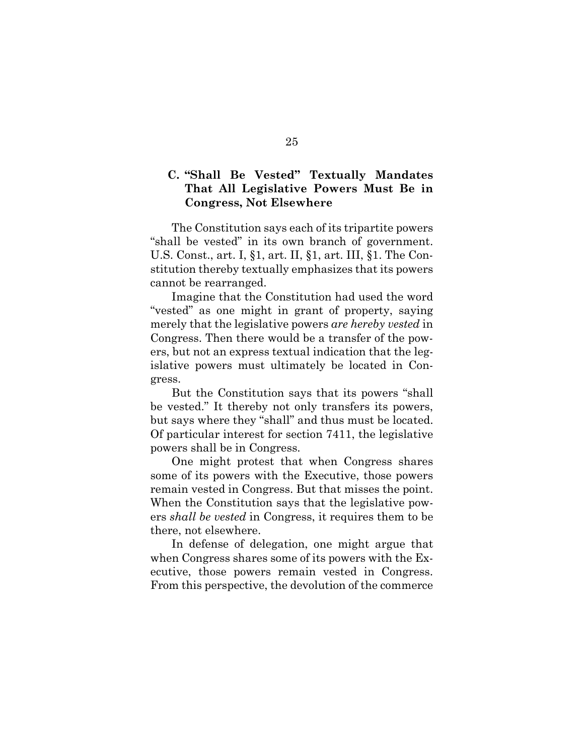## <span id="page-31-0"></span>**C. "Shall Be Vested" Textually Mandates That All Legislative Powers Must Be in Congress, Not Elsewhere**

The Constitution says each of its tripartite powers "shall be vested" in its own branch of government. U.S. Const., art. I, §1, art. II, §1, art. III, §1. The Constitution thereby textually emphasizes that its powers cannot be rearranged.

Imagine that the Constitution had used the word "vested" as one might in grant of property, saying merely that the legislative powers *are hereby vested* in Congress. Then there would be a transfer of the powers, but not an express textual indication that the legislative powers must ultimately be located in Congress.

But the Constitution says that its powers "shall be vested." It thereby not only transfers its powers, but says where they "shall" and thus must be located. Of particular interest for section 7411, the legislative powers shall be in Congress.

One might protest that when Congress shares some of its powers with the Executive, those powers remain vested in Congress. But that misses the point. When the Constitution says that the legislative powers *shall be vested* in Congress, it requires them to be there, not elsewhere.

<span id="page-31-3"></span><span id="page-31-2"></span><span id="page-31-1"></span>In defense of delegation, one might argue that when Congress shares some of its powers with the Executive, those powers remain vested in Congress. From this perspective, the devolution of the commerce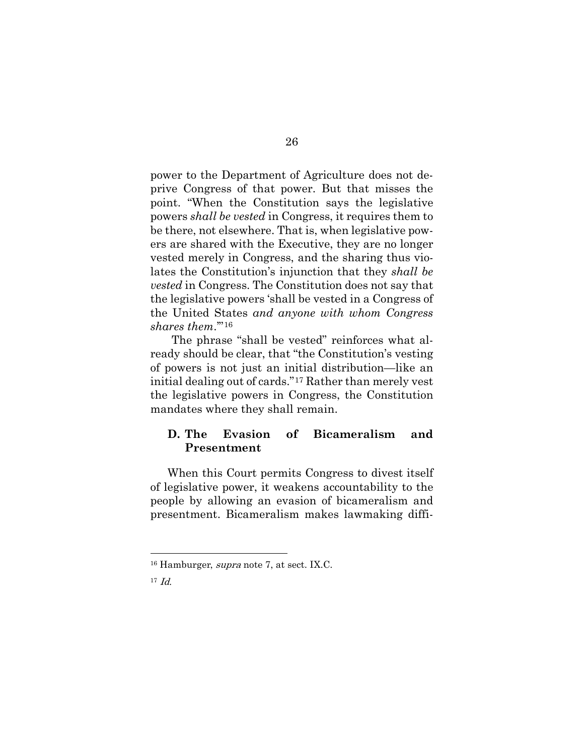power to the Department of Agriculture does not deprive Congress of that power. But that misses the point. "When the Constitution says the legislative powers *shall be vested* in Congress, it requires them to be there, not elsewhere. That is, when legislative powers are shared with the Executive, they are no longer vested merely in Congress, and the sharing thus violates the Constitution's injunction that they *shall be vested* in Congress. The Constitution does not say that the legislative powers 'shall be vested in a Congress of the United States *and anyone with whom Congress shares them*.'"[16](#page-33-1)

The phrase "shall be vested" reinforces what already should be clear, that "the Constitution's vesting of powers is not just an initial distribution—like an initial dealing out of cards."[17](#page-33-2) Rather than merely vest the legislative powers in Congress, the Constitution mandates where they shall remain.

### <span id="page-32-0"></span>**D. The Evasion of Bicameralism and Presentment**

When this Court permits Congress to divest itself of legislative power, it weakens accountability to the people by allowing an evasion of bicameralism and presentment. Bicameralism makes lawmaking diffi-

<sup>&</sup>lt;sup>16</sup> Hamburger, *supra* note 7, at sect. IX.C.

<sup>17</sup> Id.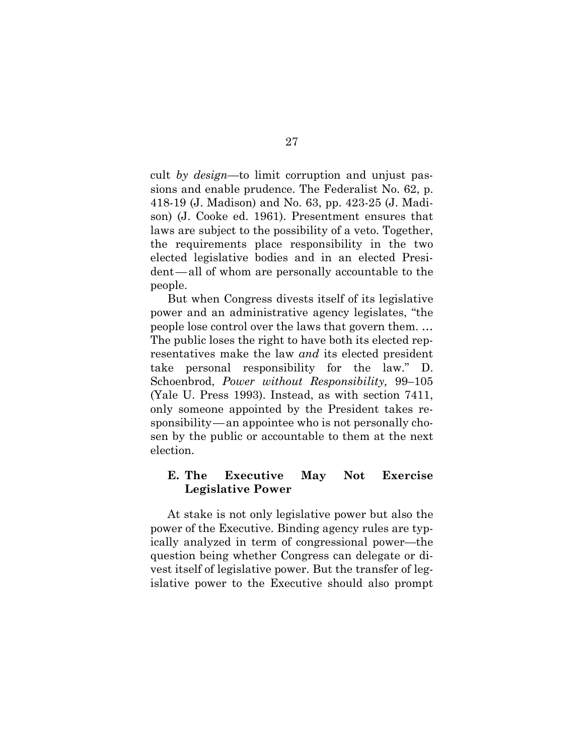cult *by design*—to limit corruption and unjust passions and enable prudence. The Federalist No. 62, p. 418-19 (J. Madison) and No. 63, pp. 423-25 (J. Madison) (J. Cooke ed. 1961). Presentment ensures that laws are subject to the possibility of a veto. Together, the requirements place responsibility in the two elected legislative bodies and in an elected President—all of whom are personally accountable to the people.

But when Congress divests itself of its legislative power and an administrative agency legislates, "the people lose control over the laws that govern them. … The public loses the right to have both its elected representatives make the law *and* its elected president take personal responsibility for the law." D. Schoenbrod, *Power without Responsibility,* 99–105 (Yale U. Press 1993). Instead, as with section 7411, only someone appointed by the President takes responsibility—an appointee who is not personally chosen by the public or accountable to them at the next election.

### <span id="page-33-0"></span>**E. The Executive May Not Exercise Legislative Power**

<span id="page-33-2"></span><span id="page-33-1"></span>At stake is not only legislative power but also the power of the Executive. Binding agency rules are typically analyzed in term of congressional power—the question being whether Congress can delegate or divest itself of legislative power. But the transfer of legislative power to the Executive should also prompt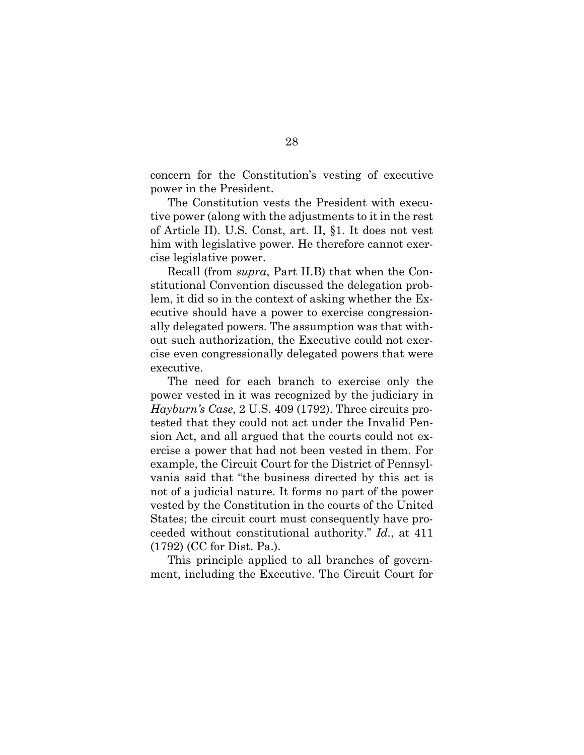concern for the Constitution's vesting of executive power in the President.

The Constitution vests the President with executive power (along with the adjustments to it in the rest of Article II). U.S. Const, art. II, §1. It does not vest him with legislative power. He therefore cannot exercise legislative power.

Recall (from *supra*, Part II.B) that when the Constitutional Convention discussed the delegation problem, it did so in the context of asking whether the Executive should have a power to exercise congressionally delegated powers. The assumption was that without such authorization, the Executive could not exercise even congressionally delegated powers that were executive.

The need for each branch to exercise only the power vested in it was recognized by the judiciary in *Hayburn's Case,* 2 U.S. 409 (1792). Three circuits protested that they could not act under the Invalid Pension Act, and all argued that the courts could not exercise a power that had not been vested in them. For example, the Circuit Court for the District of Pennsylvania said that "the business directed by this act is not of a judicial nature. It forms no part of the power vested by the Constitution in the courts of the United States; the circuit court must consequently have proceeded without constitutional authority." *Id.*, at 411 (1792) (CC for Dist. Pa.).

This principle applied to all branches of government, including the Executive. The Circuit Court for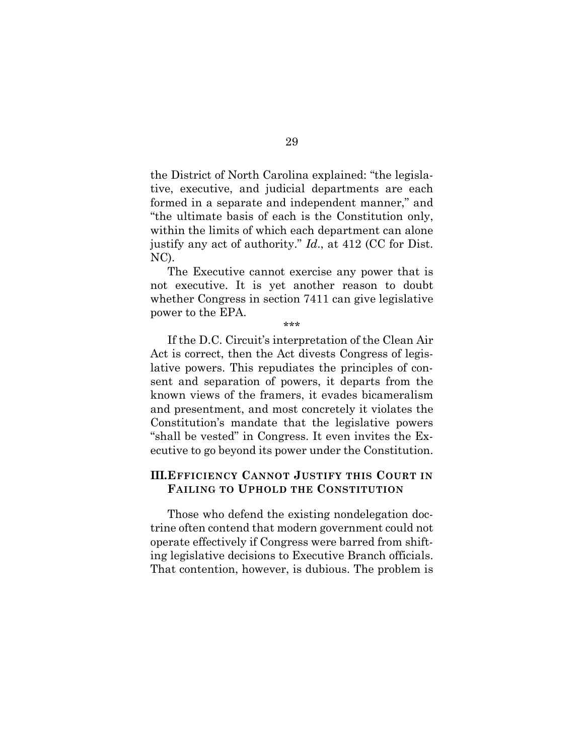the District of North Carolina explained: "the legislative, executive, and judicial departments are each formed in a separate and independent manner," and "the ultimate basis of each is the Constitution only, within the limits of which each department can alone justify any act of authority." *Id*., at 412 (CC for Dist. NC).

The Executive cannot exercise any power that is not executive. It is yet another reason to doubt whether Congress in section 7411 can give legislative power to the EPA. \*\*\*

If the D.C. Circuit's interpretation of the Clean Air Act is correct, then the Act divests Congress of legislative powers. This repudiates the principles of consent and separation of powers, it departs from the known views of the framers, it evades bicameralism and presentment, and most concretely it violates the Constitution's mandate that the legislative powers "shall be vested" in Congress. It even invites the Executive to go beyond its power under the Constitution.

### <span id="page-35-0"></span>**III.EFFICIENCY CANNOT JUSTIFY THIS COURT IN FAILING TO UPHOLD THE CONSTITUTION**

Those who defend the existing nondelegation doctrine often contend that modern government could not operate effectively if Congress were barred from shifting legislative decisions to Executive Branch officials. That contention, however, is dubious. The problem is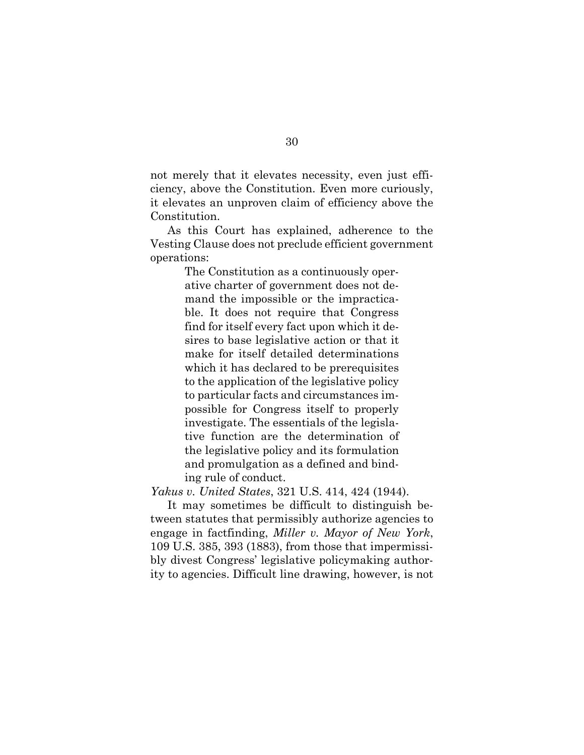not merely that it elevates necessity, even just efficiency, above the Constitution. Even more curiously, it elevates an unproven claim of efficiency above the Constitution.

As this Court has explained, adherence to the Vesting Clause does not preclude efficient government operations:

> The Constitution as a continuously operative charter of government does not demand the impossible or the impracticable. It does not require that Congress find for itself every fact upon which it desires to base legislative action or that it make for itself detailed determinations which it has declared to be prerequisites to the application of the legislative policy to particular facts and circumstances impossible for Congress itself to properly investigate. The essentials of the legislative function are the determination of the legislative policy and its formulation and promulgation as a defined and binding rule of conduct.

*Yakus v. United States*, 321 U.S. 414, 424 (1944).

It may sometimes be difficult to distinguish between statutes that permissibly authorize agencies to engage in factfinding, *Miller v. Mayor of New York*, 109 U.S. 385, 393 (1883), from those that impermissibly divest Congress' legislative policymaking authority to agencies. Difficult line drawing, however, is not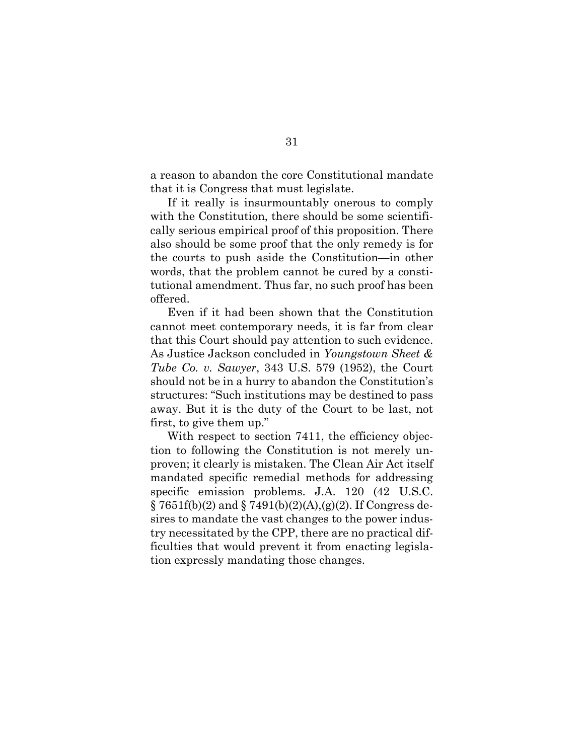a reason to abandon the core Constitutional mandate that it is Congress that must legislate.

If it really is insurmountably onerous to comply with the Constitution, there should be some scientifically serious empirical proof of this proposition. There also should be some proof that the only remedy is for the courts to push aside the Constitution—in other words, that the problem cannot be cured by a constitutional amendment. Thus far, no such proof has been offered.

Even if it had been shown that the Constitution cannot meet contemporary needs, it is far from clear that this Court should pay attention to such evidence. As Justice Jackson concluded in *Youngstown Sheet & Tube Co. v. Sawyer*, 343 U.S. 579 (1952), the Court should not be in a hurry to abandon the Constitution's structures: "Such institutions may be destined to pass away. But it is the duty of the Court to be last, not first, to give them up."

With respect to section 7411, the efficiency objection to following the Constitution is not merely unproven; it clearly is mistaken. The Clean Air Act itself mandated specific remedial methods for addressing specific emission problems. J.A. 120 (42 U.S.C.  $\S 7651f(b)(2)$  and  $\S 7491(b)(2)(A),(g)(2)$ . If Congress desires to mandate the vast changes to the power industry necessitated by the CPP, there are no practical difficulties that would prevent it from enacting legislation expressly mandating those changes.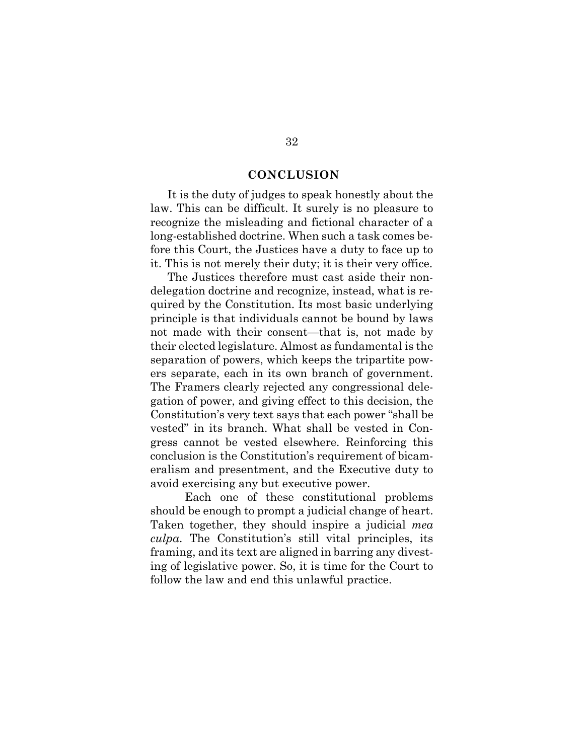#### <span id="page-38-0"></span>**CONCLUSION**

It is the duty of judges to speak honestly about the law. This can be difficult. It surely is no pleasure to recognize the misleading and fictional character of a long-established doctrine. When such a task comes before this Court, the Justices have a duty to face up to it. This is not merely their duty; it is their very office.

The Justices therefore must cast aside their nondelegation doctrine and recognize, instead, what is required by the Constitution. Its most basic underlying principle is that individuals cannot be bound by laws not made with their consent—that is, not made by their elected legislature. Almost as fundamental is the separation of powers, which keeps the tripartite powers separate, each in its own branch of government. The Framers clearly rejected any congressional delegation of power, and giving effect to this decision, the Constitution's very text says that each power "shall be vested" in its branch. What shall be vested in Congress cannot be vested elsewhere. Reinforcing this conclusion is the Constitution's requirement of bicameralism and presentment, and the Executive duty to avoid exercising any but executive power.

Each one of these constitutional problems should be enough to prompt a judicial change of heart. Taken together, they should inspire a judicial *mea culpa*. The Constitution's still vital principles, its framing, and its text are aligned in barring any divesting of legislative power. So, it is time for the Court to follow the law and end this unlawful practice.